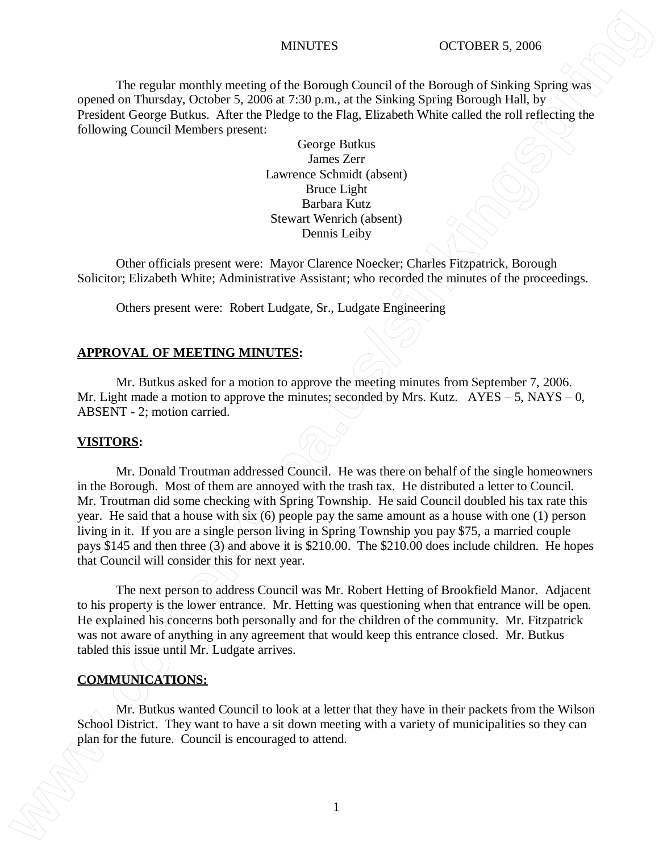The regular monthly meeting of the Borough Council of the Borough of Sinking Spring was opened on Thursday, October 5, 2006 at 7:30 p.m., at the Sinking Spring Borough Hall, by President George Butkus. After the Pledge to the Flag, Elizabeth White called the roll reflecting the following Council Members present:

> George Butkus James Zerr Lawrence Schmidt (absent) Bruce Light Barbara Kutz Stewart Wenrich (absent) Dennis Leiby

Other officials present were: Mayor Clarence Noecker; Charles Fitzpatrick, Borough Solicitor; Elizabeth White; Administrative Assistant; who recorded the minutes of the proceedings.

Others present were: Robert Ludgate, Sr., Ludgate Engineering

## **APPROVAL OF MEETING MINUTES:**

Mr. Butkus asked for a motion to approve the meeting minutes from September 7, 2006. Mr. Light made a motion to approve the minutes; seconded by Mrs. Kutz.  $AYES - 5$ , NAYS – 0, ABSENT - 2; motion carried.

### **VISITORS:**

Mr. Donald Troutman addressed Council. He was there on behalf of the single homeowners in the Borough. Most of them are annoyed with the trash tax. He distributed a letter to Council. Mr. Troutman did some checking with Spring Township. He said Council doubled his tax rate this year. He said that a house with six (6) people pay the same amount as a house with one (1) person living in it. If you are a single person living in Spring Township you pay \$75, a married couple pays \$145 and then three (3) and above it is \$210.00. The \$210.00 does include children. He hopes that Council will consider this for next year. **EXECUTE AT AN ARTIFIX (AT AN ARTIFIX CONSECUTES)**<br> **EXECUTE AT AN ARTIFIX (AT ARTIFIX (AT ARTIFIX (AT ARTIFIX (AT ARTIFIX (AT ARTIFIX (AT ARTIFIX (AT ARTIFIX (AT ARTIFIX (AT ARTIFIX (AT ARTIFIX (AT ARTIFIX (AT ARTIFIX (A** 

The next person to address Council was Mr. Robert Hetting of Brookfield Manor. Adjacent to his property is the lower entrance. Mr. Hetting was questioning when that entrance will be open. He explained his concerns both personally and for the children of the community. Mr. Fitzpatrick was not aware of anything in any agreement that would keep this entrance closed. Mr. Butkus tabled this issue until Mr. Ludgate arrives.

## **COMMUNICATIONS:**

Mr. Butkus wanted Council to look at a letter that they have in their packets from the Wilson School District. They want to have a sit down meeting with a variety of municipalities so they can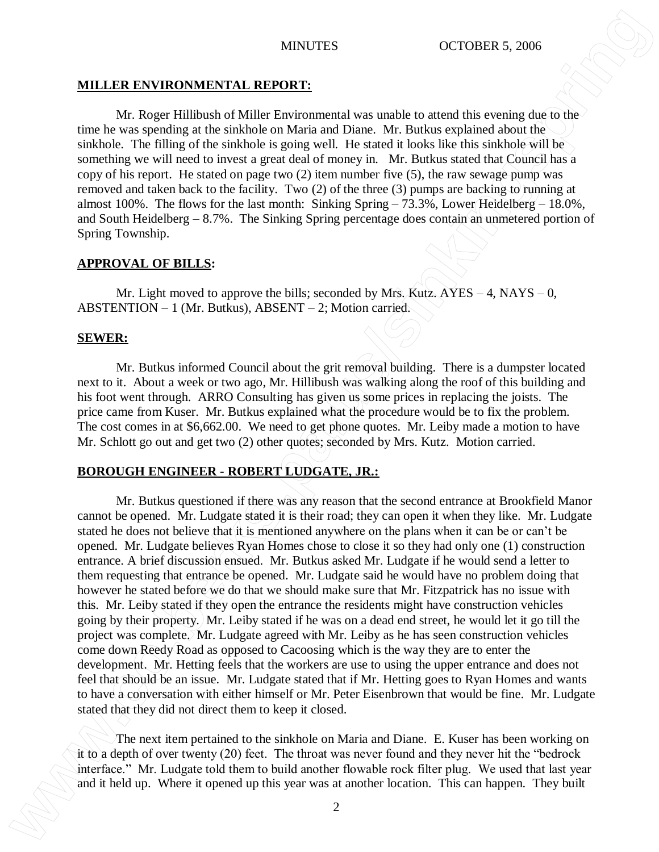## **MILLER ENVIRONMENTAL REPORT:**

Mr. Roger Hillibush of Miller Environmental was unable to attend this evening due to the time he was spending at the sinkhole on Maria and Diane. Mr. Butkus explained about the sinkhole. The filling of the sinkhole is going well. He stated it looks like this sinkhole will be something we will need to invest a great deal of money in. Mr. Butkus stated that Council has a copy of his report. He stated on page two (2) item number five (5), the raw sewage pump was removed and taken back to the facility. Two (2) of the three (3) pumps are backing to running at almost 100%. The flows for the last month: Sinking Spring – 73.3%, Lower Heidelberg – 18.0%, and South Heidelberg – 8.7%. The Sinking Spring percentage does contain an unmetered portion of Spring Township.

## **APPROVAL OF BILLS:**

Mr. Light moved to approve the bills; seconded by Mrs. Kutz.  $AYES - 4$ ,  $NAYS - 0$ , ABSTENTION – 1 (Mr. Butkus), ABSENT – 2; Motion carried.

## **SEWER:**

Mr. Butkus informed Council about the grit removal building. There is a dumpster located next to it. About a week or two ago, Mr. Hillibush was walking along the roof of this building and his foot went through. ARRO Consulting has given us some prices in replacing the joists. The price came from Kuser. Mr. Butkus explained what the procedure would be to fix the problem. The cost comes in at \$6,662.00. We need to get phone quotes. Mr. Leiby made a motion to have Mr. Schlott go out and get two (2) other quotes; seconded by Mrs. Kutz. Motion carried.

## **BOROUGH ENGINEER - ROBERT LUDGATE, JR.:**

Mr. Butkus questioned if there was any reason that the second entrance at Brookfield Manor cannot be opened. Mr. Ludgate stated it is their road; they can open it when they like. Mr. Ludgate stated he does not believe that it is mentioned anywhere on the plans when it can be or can't be opened. Mr. Ludgate believes Ryan Homes chose to close it so they had only one (1) construction entrance. A brief discussion ensued. Mr. Butkus asked Mr. Ludgate if he would send a letter to them requesting that entrance be opened. Mr. Ludgate said he would have no problem doing that however he stated before we do that we should make sure that Mr. Fitzpatrick has no issue with this. Mr. Leiby stated if they open the entrance the residents might have construction vehicles going by their property. Mr. Leiby stated if he was on a dead end street, he would let it go till the project was complete. Mr. Ludgate agreed with Mr. Leiby as he has seen construction vehicles come down Reedy Road as opposed to Cacoosing which is the way they are to enter the development. Mr. Hetting feels that the workers are use to using the upper entrance and does not feel that should be an issue. Mr. Ludgate stated that if Mr. Hetting goes to Ryan Homes and wants to have a conversation with either himself or Mr. Peter Eisenbrown that would be fine. Mr. Ludgate stated that they did not direct them to keep it closed. **MILILER ENVIRONNERVIAL REPOORT:**<br> **ALL REGION IS AND ARRY AND ARRY AND ARRY AND ARRY AND ARRY AND ARRY AND IS UNKNOWN TO A CONSULTED UP TO ANOTHING THE VALUE OF THE CONSULTED UP TO ANOTHING THE VALUE OF THE VALUE OF THE** 

The next item pertained to the sinkhole on Maria and Diane. E. Kuser has been working on it to a depth of over twenty (20) feet. The throat was never found and they never hit the "bedrock interface." Mr. Ludgate told them to build another flowable rock filter plug. We used that last year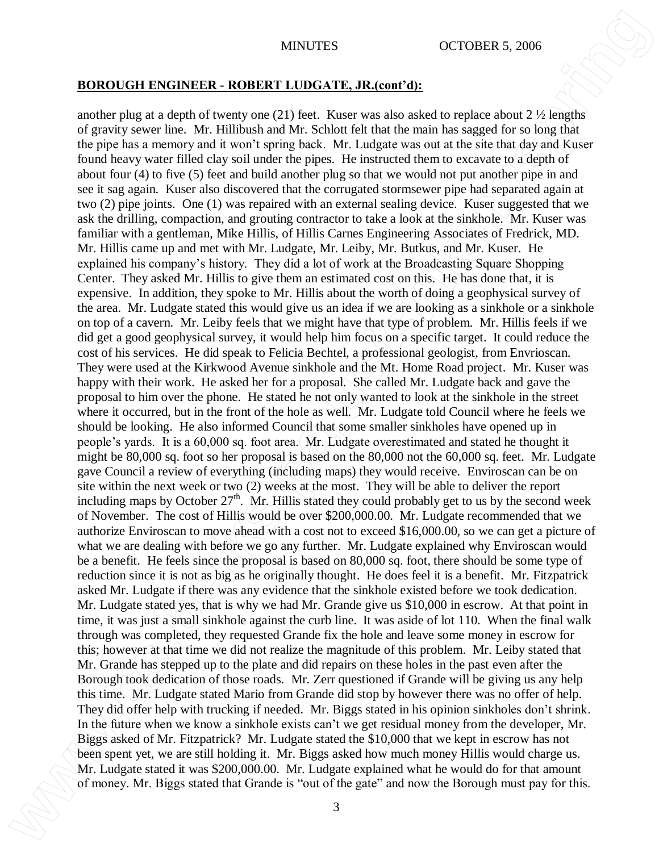## **BOROUGH ENGINEER - ROBERT LUDGATE, JR.(cont'd):**

another plug at a depth of twenty one (21) feet. Kuser was also asked to replace about  $2 \frac{1}{2}$  lengths of gravity sewer line. Mr. Hillibush and Mr. Schlott felt that the main has sagged for so long that the pipe has a memory and it won't spring back. Mr. Ludgate was out at the site that day and Kuser found heavy water filled clay soil under the pipes. He instructed them to excavate to a depth of about four (4) to five (5) feet and build another plug so that we would not put another pipe in and see it sag again. Kuser also discovered that the corrugated stormsewer pipe had separated again at two (2) pipe joints. One (1) was repaired with an external sealing device. Kuser suggested that we ask the drilling, compaction, and grouting contractor to take a look at the sinkhole. Mr. Kuser was familiar with a gentleman, Mike Hillis, of Hillis Carnes Engineering Associates of Fredrick, MD. Mr. Hillis came up and met with Mr. Ludgate, Mr. Leiby, Mr. Butkus, and Mr. Kuser. He explained his company's history. They did a lot of work at the Broadcasting Square Shopping Center. They asked Mr. Hillis to give them an estimated cost on this. He has done that, it is expensive. In addition, they spoke to Mr. Hillis about the worth of doing a geophysical survey of the area. Mr. Ludgate stated this would give us an idea if we are looking as a sinkhole or a sinkhole on top of a cavern. Mr. Leiby feels that we might have that type of problem. Mr. Hillis feels if we did get a good geophysical survey, it would help him focus on a specific target. It could reduce the cost of his services. He did speak to Felicia Bechtel, a professional geologist, from Envrioscan. They were used at the Kirkwood Avenue sinkhole and the Mt. Home Road project. Mr. Kuser was happy with their work. He asked her for a proposal. She called Mr. Ludgate back and gave the proposal to him over the phone. He stated he not only wanted to look at the sinkhole in the street where it occurred, but in the front of the hole as well. Mr. Ludgate told Council where he feels we should be looking. He also informed Council that some smaller sinkholes have opened up in people's yards. It is a 60,000 sq. foot area. Mr. Ludgate overestimated and stated he thought it might be 80,000 sq. foot so her proposal is based on the 80,000 not the 60,000 sq. feet. Mr. Ludgate gave Council a review of everything (including maps) they would receive. Enviroscan can be on site within the next week or two (2) weeks at the most. They will be able to deliver the report including maps by October  $27<sup>th</sup>$ . Mr. Hillis stated they could probably get to us by the second week of November. The cost of Hillis would be over \$200,000.00. Mr. Ludgate recommended that we authorize Enviroscan to move ahead with a cost not to exceed \$16,000.00, so we can get a picture of what we are dealing with before we go any further. Mr. Ludgate explained why Enviroscan would be a benefit. He feels since the proposal is based on 80,000 sq. foot, there should be some type of reduction since it is not as big as he originally thought. He does feel it is a benefit. Mr. Fitzpatrick asked Mr. Ludgate if there was any evidence that the sinkhole existed before we took dedication. Mr. Ludgate stated yes, that is why we had Mr. Grande give us \$10,000 in escrow. At that point in time, it was just a small sinkhole against the curb line. It was aside of lot 110. When the final walk through was completed, they requested Grande fix the hole and leave some money in escrow for this; however at that time we did not realize the magnitude of this problem. Mr. Leiby stated that Mr. Grande has stepped up to the plate and did repairs on these holes in the past even after the Borough took dedication of those roads. Mr. Zerr questioned if Grande will be giving us any help this time. Mr. Ludgate stated Mario from Grande did stop by however there was no offer of help. They did offer help with trucking if needed. Mr. Biggs stated in his opinion sinkholes don't shrink. In the future when we know a sinkhole exists can't we get residual money from the developer, Mr. Biggs asked of Mr. Fitzpatrick? Mr. Ludgate stated the \$10,000 that we kept in escrow has not been spent yet, we are still holding it. Mr. Biggs asked how much money Hillis would charge us. Mr. Ludgate stated it was \$200,000.00. Mr. Ludgate explained what he would do for that amount **MRITES CONDUCT ENCIRVERE A. BOOBBEY. IN EXCREMENTATION CONTROLLATE CONTROLLATE CONTROLLATE CONTROLLATE CONTROLLATE CONTROLLATE CONTROLLATE CONTROLLATE CONTROLLATE CONTROLLATE CONTROLLATE CONTROLLATE CONTROLLATE CONTROLL**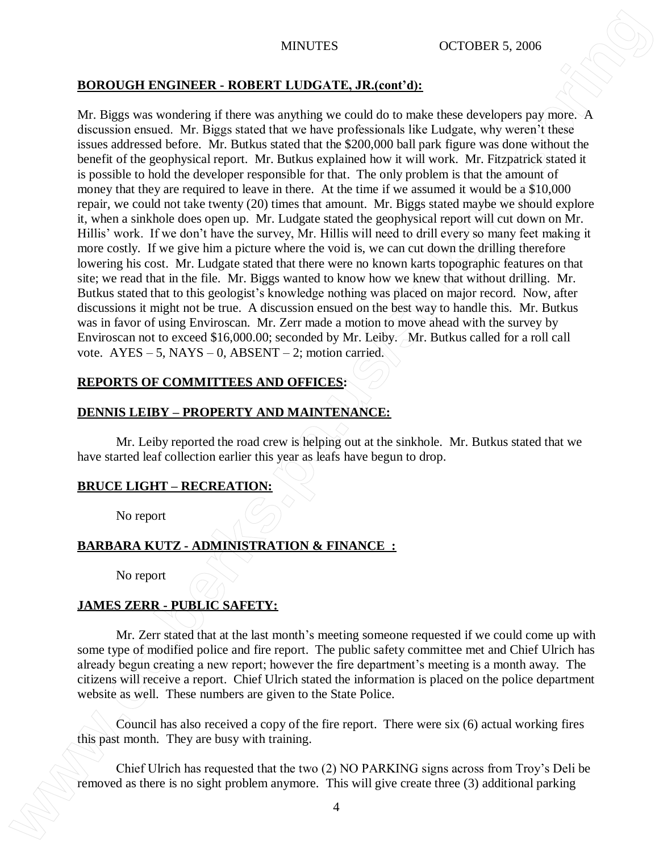# **BOROUGH ENGINEER - ROBERT LUDGATE, JR.(cont'd):**

Mr. Biggs was wondering if there was anything we could do to make these developers pay more. A discussion ensued. Mr. Biggs stated that we have professionals like Ludgate, why weren't these issues addressed before. Mr. Butkus stated that the \$200,000 ball park figure was done without the benefit of the geophysical report. Mr. Butkus explained how it will work. Mr. Fitzpatrick stated it is possible to hold the developer responsible for that. The only problem is that the amount of money that they are required to leave in there. At the time if we assumed it would be a \$10,000 repair, we could not take twenty (20) times that amount. Mr. Biggs stated maybe we should explore it, when a sinkhole does open up. Mr. Ludgate stated the geophysical report will cut down on Mr. Hillis' work. If we don't have the survey, Mr. Hillis will need to drill every so many feet making it more costly. If we give him a picture where the void is, we can cut down the drilling therefore lowering his cost. Mr. Ludgate stated that there were no known karts topographic features on that site; we read that in the file. Mr. Biggs wanted to know how we knew that without drilling. Mr. Butkus stated that to this geologist's knowledge nothing was placed on major record. Now, after discussions it might not be true. A discussion ensued on the best way to handle this. Mr. Butkus was in favor of using Enviroscan. Mr. Zerr made a motion to move ahead with the survey by Enviroscan not to exceed \$16,000.00; seconded by Mr. Leiby.  $\overline{\text{Mr}}$ . Butkus called for a roll call vote.  $AYES - 5$ ,  $NAYS - 0$ ,  $ABSENT - 2$ ; motion carried. **EXECUTE THE EXECUTE THE CONSECT INTERNATION CONSECT AS THE PROPERTIES** AND CONSECT ANY  $\mu$  and  $\mu$  and  $\mu$  and  $\mu$  and  $\mu$  and  $\mu$  and  $\mu$  and  $\mu$  and  $\mu$  and  $\mu$  and  $\mu$  and  $\mu$  and  $\mu$  and  $\mu$  and  $\mu$ 

# **REPORTS OF COMMITTEES AND OFFICES:**

# **DENNIS LEIBY – PROPERTY AND MAINTENANCE:**

Mr. Leiby reported the road crew is helping out at the sinkhole. Mr. Butkus stated that we have started leaf collection earlier this year as leafs have begun to drop.

# **BRUCE LIGHT – RECREATION:**

No report

# **BARBARA KUTZ - ADMINISTRATION & FINANCE :**

No report

# **JAMES ZERR - PUBLIC SAFETY:**

Mr. Zerr stated that at the last month's meeting someone requested if we could come up with some type of modified police and fire report. The public safety committee met and Chief Ulrich has already begun creating a new report; however the fire department's meeting is a month away. The citizens will receive a report. Chief Ulrich stated the information is placed on the police department website as well. These numbers are given to the State Police.

Council has also received a copy of the fire report. There were six (6) actual working fires this past month. They are busy with training.

Chief Ulrich has requested that the two (2) NO PARKING signs across from Troy's Deli be<br>removed as there is no sight problem anymore. This will give create three (3) additional parking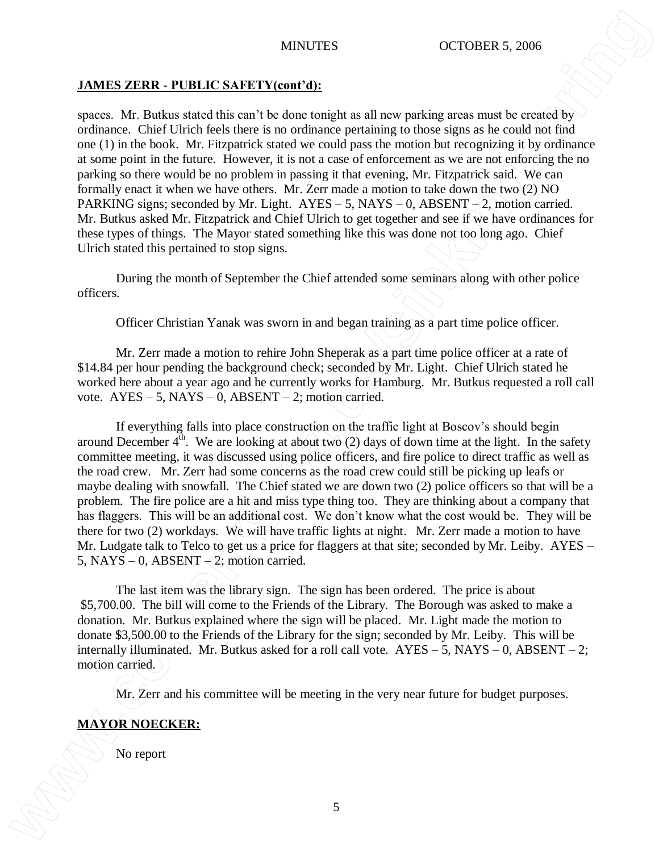# **JAMES ZERR - PUBLIC SAFETY(cont'd):**

spaces. Mr. Butkus stated this can't be done tonight as all new parking areas must be created by ordinance. Chief Ulrich feels there is no ordinance pertaining to those signs as he could not find one (1) in the book. Mr. Fitzpatrick stated we could pass the motion but recognizing it by ordinance at some point in the future. However, it is not a case of enforcement as we are not enforcing the no parking so there would be no problem in passing it that evening, Mr. Fitzpatrick said. We can formally enact it when we have others. Mr. Zerr made a motion to take down the two (2) NO PARKING signs; seconded by Mr. Light.  $AYES - 5$ , NAYS – 0, ABSENT  $-2$ , motion carried. Mr. Butkus asked Mr. Fitzpatrick and Chief Ulrich to get together and see if we have ordinances for these types of things. The Mayor stated something like this was done not too long ago. Chief Ulrich stated this pertained to stop signs. MINTES **MORE ARTICLE CONTINUES** CONTOUR A 2006<br>
Space. Mt. Ballans stated this can it to done trangit as all new publing accuss and is considerly<br>
contained that there is no report to the consideration of the main of the c

During the month of September the Chief attended some seminars along with other police officers.

Officer Christian Yanak was sworn in and began training as a part time police officer.

Mr. Zerr made a motion to rehire John Sheperak as a part time police officer at a rate of \$14.84 per hour pending the background check; seconded by Mr. Light. Chief Ulrich stated he worked here about a year ago and he currently works for Hamburg. Mr. Butkus requested a roll call vote.  $AYES - 5$ ,  $NAYS - 0$ ,  $ABSENT - 2$ ; motion carried.

If everything falls into place construction on the traffic light at Boscov's should begin around December  $4<sup>th</sup>$ . We are looking at about two (2) days of down time at the light. In the safety committee meeting, it was discussed using police officers, and fire police to direct traffic as well as the road crew. Mr. Zerr had some concerns as the road crew could still be picking up leafs or maybe dealing with snowfall. The Chief stated we are down two (2) police officers so that will be a problem. The fire police are a hit and miss type thing too. They are thinking about a company that has flaggers. This will be an additional cost. We don't know what the cost would be. They will be there for two (2) workdays. We will have traffic lights at night. Mr. Zerr made a motion to have Mr. Ludgate talk to Telco to get us a price for flaggers at that site; seconded by Mr. Leiby. AYES – 5, NAYS – 0, ABSENT  $-2$ ; motion carried.

The last item was the library sign. The sign has been ordered. The price is about \$5,700.00. The bill will come to the Friends of the Library. The Borough was asked to make a donation. Mr. Butkus explained where the sign will be placed. Mr. Light made the motion to donate \$3,500.00 to the Friends of the Library for the sign; seconded by Mr. Leiby. This will be internally illuminated. Mr. Butkus asked for a roll call vote.  $AYES - 5$ ,  $NAYS - 0$ ,  $ABSENT - 2$ ; motion carried.

Mr. Zerr and his committee will be meeting in the very near future for budget purposes.

# **MAYOR NOECKER:**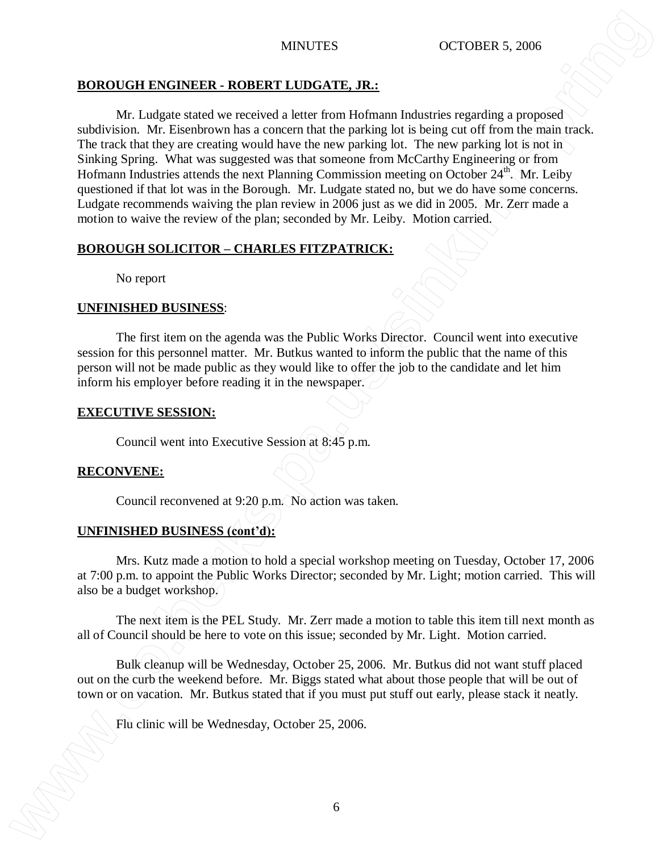# **BOROUGH ENGINEER - ROBERT LUDGATE, JR.:**

Mr. Ludgate stated we received a letter from Hofmann Industries regarding a proposed subdivision. Mr. Eisenbrown has a concern that the parking lot is being cut off from the main track. The track that they are creating would have the new parking lot. The new parking lot is not in Sinking Spring. What was suggested was that someone from McCarthy Engineering or from Hofmann Industries attends the next Planning Commission meeting on October  $24^{\text{th}}$ . Mr. Leiby questioned if that lot was in the Borough. Mr. Ludgate stated no, but we do have some concerns. Ludgate recommends waiving the plan review in 2006 just as we did in 2005. Mr. Zerr made a motion to waive the review of the plan; seconded by Mr. Leiby. Motion carried. **EXECUTE FRUCHERE ASSAUGE CONTEXT AND ACCOUNT AND ACCOUNT AND ACCOUNT AND ACCOUNT AND ACCOUNT AND ACCOUNT AND ACCOUNT AND ACCOUNT AND ACCOUNT AND ACCOUNT AND ACCOUNT AND ACCOUNT AND ACCOUNT AND ACCOUNT AND ACCOUNT AND ACCO** 

# **BOROUGH SOLICITOR – CHARLES FITZPATRICK:**

No report

# **UNFINISHED BUSINESS**:

The first item on the agenda was the Public Works Director. Council went into executive session for this personnel matter. Mr. Butkus wanted to inform the public that the name of this person will not be made public as they would like to offer the job to the candidate and let him inform his employer before reading it in the newspaper.

# **EXECUTIVE SESSION:**

Council went into Executive Session at 8:45 p.m.

# **RECONVENE:**

Council reconvened at 9:20 p.m. No action was taken.

# **UNFINISHED BUSINESS (cont'd):**

Mrs. Kutz made a motion to hold a special workshop meeting on Tuesday, October 17, 2006 at 7:00 p.m. to appoint the Public Works Director; seconded by Mr. Light; motion carried. This will also be a budget workshop.

The next item is the PEL Study. Mr. Zerr made a motion to table this item till next month as all of Council should be here to vote on this issue; seconded by Mr. Light. Motion carried.

Bulk cleanup will be Wednesday, October 25, 2006. Mr. Butkus did not want stuff placed out on the curb the weekend before. Mr. Biggs stated what about those people that will be out of town or on vacation. Mr. Butkus stated that if you must put stuff out early, please stack it neatly.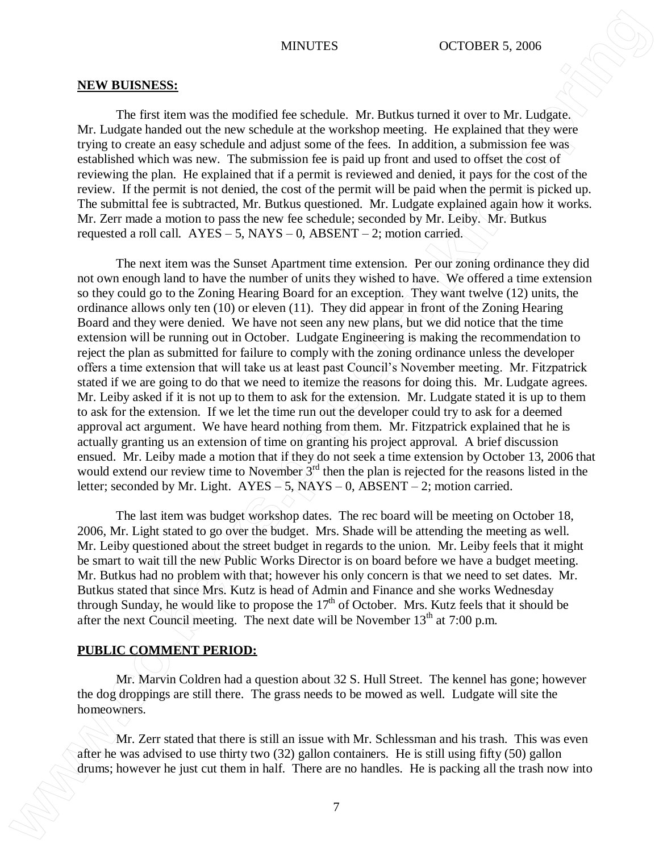### **NEW BUISNESS:**

The first item was the modified fee schedule. Mr. Butkus turned it over to Mr. Ludgate. Mr. Ludgate handed out the new schedule at the workshop meeting. He explained that they were trying to create an easy schedule and adjust some of the fees. In addition, a submission fee was established which was new. The submission fee is paid up front and used to offset the cost of reviewing the plan. He explained that if a permit is reviewed and denied, it pays for the cost of the review. If the permit is not denied, the cost of the permit will be paid when the permit is picked up. The submittal fee is subtracted, Mr. Butkus questioned. Mr. Ludgate explained again how it works. Mr. Zerr made a motion to pass the new fee schedule; seconded by Mr. Leiby. Mr. Butkus requested a roll call.  $AYES - 5$ ,  $NAYS - 0$ ,  $ABSENT - 2$ ; motion carried.

The next item was the Sunset Apartment time extension. Per our zoning ordinance they did not own enough land to have the number of units they wished to have. We offered a time extension so they could go to the Zoning Hearing Board for an exception. They want twelve (12) units, the ordinance allows only ten (10) or eleven (11). They did appear in front of the Zoning Hearing Board and they were denied. We have not seen any new plans, but we did notice that the time extension will be running out in October. Ludgate Engineering is making the recommendation to reject the plan as submitted for failure to comply with the zoning ordinance unless the developer offers a time extension that will take us at least past Council's November meeting. Mr. Fitzpatrick stated if we are going to do that we need to itemize the reasons for doing this. Mr. Ludgate agrees. Mr. Leiby asked if it is not up to them to ask for the extension. Mr. Ludgate stated it is up to them to ask for the extension. If we let the time run out the developer could try to ask for a deemed approval act argument. We have heard nothing from them. Mr. Fitzpatrick explained that he is actually granting us an extension of time on granting his project approval. A brief discussion ensued. Mr. Leiby made a motion that if they do not seek a time extension by October 13, 2006 that would extend our review time to November 3<sup>rd</sup> then the plan is rejected for the reasons listed in the letter; seconded by Mr. Light. AYES – 5, NAYS – 0, ABSENT – 2; motion carried. MINUTES **CONDERNS**<br>
NEW ILISTISTS:<br>
1. The finite near was the modified for schedules. All the<br>them in the vertex here are no handles to the state of the trash now interest the state of<br>the state of the state of the state

The last item was budget workshop dates. The rec board will be meeting on October 18, 2006, Mr. Light stated to go over the budget. Mrs. Shade will be attending the meeting as well. Mr. Leiby questioned about the street budget in regards to the union. Mr. Leiby feels that it might be smart to wait till the new Public Works Director is on board before we have a budget meeting. Mr. Butkus had no problem with that; however his only concern is that we need to set dates. Mr. Butkus stated that since Mrs. Kutz is head of Admin and Finance and she works Wednesday through Sunday, he would like to propose the  $17<sup>th</sup>$  of October. Mrs. Kutz feels that it should be after the next Council meeting. The next date will be November  $13<sup>th</sup>$  at 7:00 p.m.

## **PUBLIC COMMENT PERIOD:**

Mr. Marvin Coldren had a question about 32 S. Hull Street. The kennel has gone; however the dog droppings are still there. The grass needs to be mowed as well. Ludgate will site the homeowners.

Mr. Zerr stated that there is still an issue with Mr. Schlessman and his trash. This was even after he was advised to use thirty two (32) gallon containers. He is still using fifty (50) gallon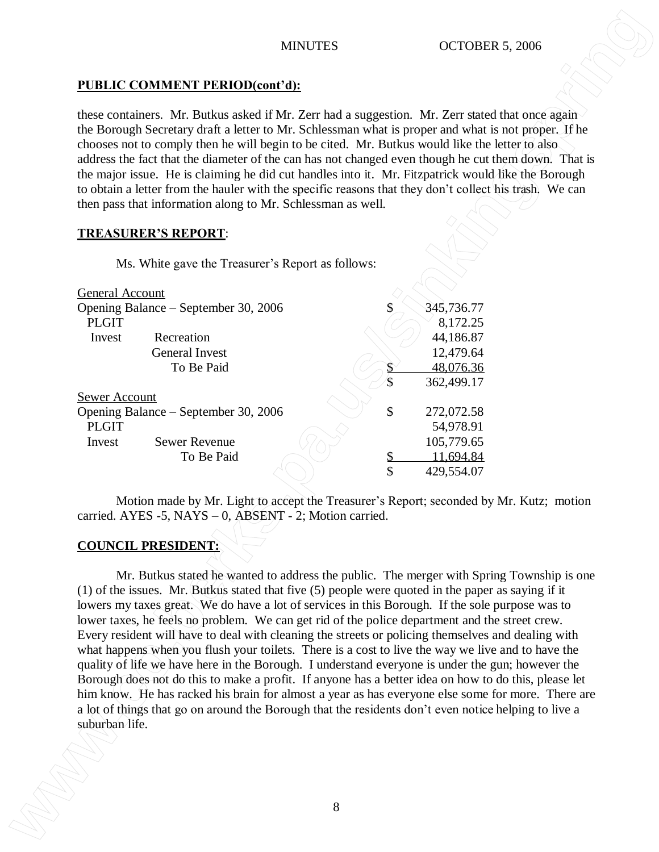# **PUBLIC COMMENT PERIOD(cont'd):**

these containers. Mr. Butkus asked if Mr. Zerr had a suggestion. Mr. Zerr stated that once again the Borough Secretary draft a letter to Mr. Schlessman what is proper and what is not proper. If he chooses not to comply then he will begin to be cited. Mr. Butkus would like the letter to also address the fact that the diameter of the can has not changed even though he cut them down. That is the major issue. He is claiming he did cut handles into it. Mr. Fitzpatrick would like the Borough to obtain a letter from the hauler with the specific reasons that they don't collect his trash. We can then pass that information along to Mr. Schlessman as well.

# **TREASURER'S REPORT**:

Ms. White gave the Treasurer's Report as follows:

| General Account                      |                       |  |    |            |
|--------------------------------------|-----------------------|--|----|------------|
| Opening Balance – September 30, 2006 |                       |  |    | 345,736.77 |
| <b>PLGIT</b>                         |                       |  |    | 8,172.25   |
| Invest                               | Recreation            |  |    | 44,186.87  |
|                                      | <b>General Invest</b> |  |    | 12,479.64  |
|                                      | To Be Paid            |  |    | 48,076.36  |
|                                      |                       |  | S  | 362,499.17 |
| <b>Sewer Account</b>                 |                       |  |    |            |
| Opening Balance – September 30, 2006 |                       |  | \$ | 272,072.58 |
| <b>PLGIT</b>                         |                       |  |    | 54,978.91  |
| Invest                               | <b>Sewer Revenue</b>  |  |    | 105,779.65 |
|                                      | To Be Paid            |  |    | 11,694.84  |
|                                      |                       |  | \$ | 429,554.07 |
|                                      |                       |  |    |            |

Motion made by Mr. Light to accept the Treasurer's Report; seconded by Mr. Kutz; motion carried. AYES -5, NAYS – 0, ABSENT - 2; Motion carried.

# **COUNCIL PRESIDENT:**

Mr. Butkus stated he wanted to address the public. The merger with Spring Township is one (1) of the issues. Mr. Butkus stated that five (5) people were quoted in the paper as saying if it lowers my taxes great. We do have a lot of services in this Borough. If the sole purpose was to lower taxes, he feels no problem. We can get rid of the police department and the street crew. Every resident will have to deal with cleaning the streets or policing themselves and dealing with what happens when you flush your toilets. There is a cost to live the way we live and to have the quality of life we have here in the Borough. I understand everyone is under the gun; however the Borough does not do this to make a profit. If anyone has a better idea on how to do this, please let him know. He has racked his brain for almost a year as has everyone else some for more. There are a lot of things that go on around the Borough that the residents don't even notice helping to live a **MINUTES**<br> **EXERCISE CONSULTS TRIEGODICAGES**<br> **EXERCISE CONSULTS AND EXERCISE CONSULTS AND EXERCISE CONSULTS AND CONSULTS AND CONSULTS AND CONSULTS AND CONSULTS AND CONSULTS AND CONSULTS AND CONSULTS AND CONSULTS AND CONS**